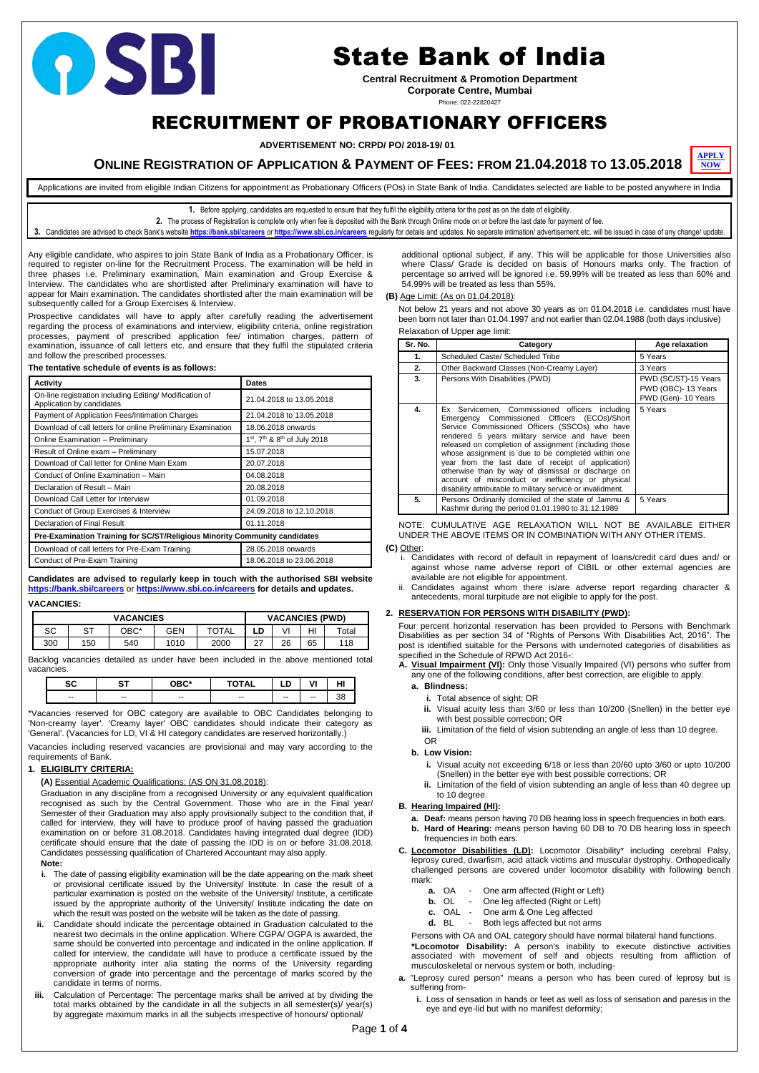Page **1** of **4**

# RECRUITMENT OF PROBATIONARY OFFICERS

**ADVERTISEMENT NO: CRPD/ PO/ 2018-19/ 01**

**ONLINE REGISTRATION OF APPLICATION & PAYMENT OF FEES: FROM 21.04.2018 TO 13.05.2018**

**1.** Before applying, candidates are requested to ensure that they fulfil the eligibility criteria for the post as on the date of eligibility.

**2.** The process of Registration is complete only when fee is deposited with the Bank through Online mode on or before the last date for payment of fee.

3. Candidates are advised to check Bank's website <https://bank.sbi/careers> or <https://www.sbi.co.in/careers> reqularly for details and updates. No separate intimation/ advertisement etc. will be issued in case of any change

Any eligible candidate, who aspires to join State Bank of India as a Probationary Officer, is required to register on-line for the Recruitment Process. The examination will be held in three phases i.e. Preliminary examination, Main examination and Group Exercise & Interview. The candidates who are shortlisted after Preliminary examination will have to appear for Main examination. The candidates shortlisted after the main examination will be subsequently called for a Group Exercises & Interview.

Prospective candidates will have to apply after carefully reading the advertisement regarding the process of examinations and interview, eligibility criteria, online registration processes, payment of prescribed application fee/ intimation charges, pattern of examination, issuance of call letters etc. and ensure that they fulfil the stipulated criteria and follow the prescribed processes.

| and follow the presenced processes.                                                  |                                    |  |  |  |  |  |
|--------------------------------------------------------------------------------------|------------------------------------|--|--|--|--|--|
| The tentative schedule of events is as follows:                                      |                                    |  |  |  |  |  |
| Activity                                                                             | <b>Dates</b>                       |  |  |  |  |  |
| On-line registration including Editing/ Modification of<br>Application by candidates | 21.04.2018 to 13.05.2018           |  |  |  |  |  |
| Payment of Application Fees/Intimation Charges                                       | 21.04.2018 to 13.05.2018           |  |  |  |  |  |
| Download of call letters for online Preliminary Examination                          | 18.06.2018 onwards                 |  |  |  |  |  |
| <b>Online Examination - Preliminary</b>                                              | $1st$ , $7th$ & $8th$ of July 2018 |  |  |  |  |  |
| Result of Online exam – Preliminary                                                  | 15.07.2018                         |  |  |  |  |  |
| Download of Call letter for Online Main Exam                                         | 20.07.2018                         |  |  |  |  |  |
| Conduct of Online Examination - Main                                                 | 04.08.2018                         |  |  |  |  |  |
| Declaration of Result - Main                                                         | 20.08.2018                         |  |  |  |  |  |
| Download Call Letter for Interview                                                   | 01.09.2018                         |  |  |  |  |  |
| Conduct of Group Exercises & Interview                                               | 24.09.2018 to 12.10.2018           |  |  |  |  |  |
| Declaration of Final Result                                                          | 01.11.2018                         |  |  |  |  |  |
| Pre-Examination Training for SC/ST/Religious Minority Community candidates           |                                    |  |  |  |  |  |
| Download of call letters for Pre-Exam Training                                       | 28.05.2018 onwards                 |  |  |  |  |  |
| Conduct of Pre-Exam Training                                                         | 18.06.2018 to 23.06.2018           |  |  |  |  |  |

- **i.** The date of passing eligibility examination will be the date appearing on the mark sheet or provisional certificate issued by the University/ Institute. In case the result of a particular examination is posted on the website of the University/ Institute, a certificate issued by the appropriate authority of the University/ Institute indicating the date on which the result was posted on the website will be taken as the date of passing.
- **ii.** Candidate should indicate the percentage obtained in Graduation calculated to the nearest two decimals in the online application. Where CGPA/ OGPA is awarded, the same should be converted into percentage and indicated in the online application. If called for interview, the candidate will have to produce a certificate issued by the appropriate authority inter alia stating the norms of the University regarding conversion of grade into percentage and the percentage of marks scored by the candidate in terms of norms.
- **iii.** Calculation of Percentage: The percentage marks shall be arrived at by dividing the total marks obtained by the candidate in all the subjects in all semester(s)/ year(s) by aggregate maximum marks in all the subjects irrespective of honours/ optional/

**Candidates are advised to regularly keep in touch with the authorised SBI website <https://bank.sbi/careers>** or **<https://www.sbi.co.in/careers> for details and updates.**

#### **VACANCIES:**

| <b>VACANCIES</b> |                                |      |      |       |           | <b>VACANCIES (PWD)</b> |    |             |
|------------------|--------------------------------|------|------|-------|-----------|------------------------|----|-------------|
| SC               | $\mathsf{C}^{\mathsf{T}}$<br>ື | OBC* | GEN  | TOTAL | ∟D        | VI                     | HI | $\tau$ otal |
| 300              | 150                            | 540  | 1010 | 2000  | っっ<br>، ے | 26                     | 65 | 118         |

Backlog vacancies detailed as under have been included in the above mentioned total vacancies.

| $\sim$ | ~-    | $\sim$ n $\sim$ + |       | ◡<br>__                  | $\mathbf{v}$ | . |
|--------|-------|-------------------|-------|--------------------------|--------------|---|
| $- -$  | $- -$ | $- -$             | $- -$ | $\overline{\phantom{m}}$ | $- -$        |   |

\*Vacancies reserved for OBC category are available to OBC Candidates belonging to 'Non-creamy layer'. 'Creamy layer' OBC candidates should indicate their category as 'General'. (Vacancies for LD, VI & HI category candidates are reserved horizontally.)

Vacancies including reserved vacancies are provisional and may vary according to the requirements of Bank.

#### **1. ELIGIBLITY CRITERIA:**

**(A)** Essential Academic Qualifications: (AS ON 31.08.2018):

Graduation in any discipline from a recognised University or any equivalent qualification recognised as such by the Central Government. Those who are in the Final year/

Semester of their Graduation may also apply provisionally subject to the condition that, if called for interview, they will have to produce proof of having passed the graduation examination on or before 31.08.2018. Candidates having integrated dual degree (IDD) certificate should ensure that the date of passing the IDD is on or before 31.08.2018. Candidates possessing qualification of Chartered Accountant may also apply.

#### **Note:**

additional optional subject, if any. This will be applicable for those Universities also where Class/ Grade is decided on basis of Honours marks only. The fraction of percentage so arrived will be ignored i.e. 59.99% will be treated as less than 60% and 54.99% will be treated as less than 55%.

#### **(B)** Age Limit: (As on 01.04.2018):

Not below 21 years and not above 30 years as on 01.04.2018 i.e. candidates must have been born not later than 01.04.1997 and not earlier than 02.04.1988 (both days inclusive)

| Relaxation of Upper age limit: |  |  |  |
|--------------------------------|--|--|--|
|--------------------------------|--|--|--|

| Sr. No. | Category                                                                                                                                                                                                                                                                                                                                                                                                                                                                                                                                           | Age relaxation                                                    |
|---------|----------------------------------------------------------------------------------------------------------------------------------------------------------------------------------------------------------------------------------------------------------------------------------------------------------------------------------------------------------------------------------------------------------------------------------------------------------------------------------------------------------------------------------------------------|-------------------------------------------------------------------|
| 1.      | Scheduled Caste/ Scheduled Tribe                                                                                                                                                                                                                                                                                                                                                                                                                                                                                                                   | 5 Years                                                           |
| 2.      | Other Backward Classes (Non-Creamy Layer)                                                                                                                                                                                                                                                                                                                                                                                                                                                                                                          | 3 Years                                                           |
| 3.      | Persons With Disabilities (PWD)                                                                                                                                                                                                                                                                                                                                                                                                                                                                                                                    | PWD (SC/ST)-15 Years<br>PWD (OBC)-13 Years<br>PWD (Gen)- 10 Years |
| 4.      | Ex Servicemen, Commissioned officers including<br>Emergency Commissioned Officers (ECOs)/Short<br>Service Commissioned Officers (SSCOs) who have<br>rendered 5 years military service and have been<br>released on completion of assignment (including those<br>whose assignment is due to be completed within one<br>year from the last date of receipt of application)<br>otherwise than by way of dismissal or discharge on<br>account of misconduct or inefficiency or physical<br>disability attributable to military service or invalidment. | 5 Years                                                           |
| 5.      | Persons Ordinarily domiciled of the state of Jammu &<br>Kashmir during the period 01.01.1980 to 31.12.1989                                                                                                                                                                                                                                                                                                                                                                                                                                         | 5 Years                                                           |

NOTE: CUMULATIVE AGE RELAXATION WILL NOT BE AVAILABLE EITHER UNDER THE ABOVE ITEMS OR IN COMBINATION WITH ANY OTHER ITEMS.

#### **(C)** Other:

- i. Candidates with record of default in repayment of loans/credit card dues and/ or against whose name adverse report of CIBIL or other external agencies are available are not eligible for appointment.
- ii. Candidates against whom there is/are adverse report regarding character & antecedents, moral turpitude are not eligible to apply for the post.

#### **2. RESERVATION FOR PERSONS WITH DISABILITY (PWD):**

Four percent horizontal reservation has been provided to Persons with Benchmark Disabilities as per section 34 of "Rights of Persons With Disabilities Act, 2016". The post is identified suitable for the Persons with undernoted categories of disabilities as specified in the Schedule of RPWD Act 2016-:

**A. Visual Impairment (VI):** Only those Visually Impaired (VI) persons who suffer from any one of the following conditions, after best correction, are eligible to apply.

#### **a. Blindness:**

- **i.** Total absence of sight; OR
- **ii.** Visual acuity less than 3/60 or less than 10/200 (Snellen) in the better eye with best possible correction; OR
- **iii.** Limitation of the field of vision subtending an angle of less than 10 degree.
	-

OR

#### **b. Low Vision:**

- **i.** Visual acuity not exceeding 6/18 or less than 20/60 upto 3/60 or upto 10/200 (Snellen) in the better eye with best possible corrections; OR
- **ii.** Limitation of the field of vision subtending an angle of less than 40 degree up to 10 degree.

# **B. Hearing Impaired (HI):**

- **a. Deaf:** means person having 70 DB hearing loss in speech frequencies in both ears.
- **b. Hard of Hearing:** means person having 60 DB to 70 DB hearing loss in speech frequencies in both ears.
- **C. Locomotor Disabilities (LD):** Locomotor Disability\* including cerebral Palsy, leprosy cured, dwarfism, acid attack victims and muscular dystrophy. Orthopedically challenged persons are covered under locomotor disability with following bench mark:
	- **a.** OA One arm affected (Right or Left)
	- **b.** OL One leg affected (Right or Left)
	- **c.** OAL One arm & One Leg affected
	- **d.** BL Both legs affected but not arms

Persons with OA and OAL category should have normal bilateral hand functions.

**\*Locomotor Disability:** A person's inability to execute distinctive activities associated with movement of self and objects resulting from affliction of musculoskeletal or nervous system or both, including-

- **a.** "Leprosy cured person" means a person who has been cured of leprosy but is suffering from
	- **i.** Loss of sensation in hands or feet as well as loss of sensation and paresis in the eye and eye-lid but with no manifest deformity;



# State Bank of India

**Central Recruitment & Promotion Department Corporate Centre, Mumbai**

Phone: 022-22820427



Applications are invited from eligible Indian Citizens for appointment as Probationary Officers (POs) in State Bank of India. Candidates selected are liable to be posted anywhere in India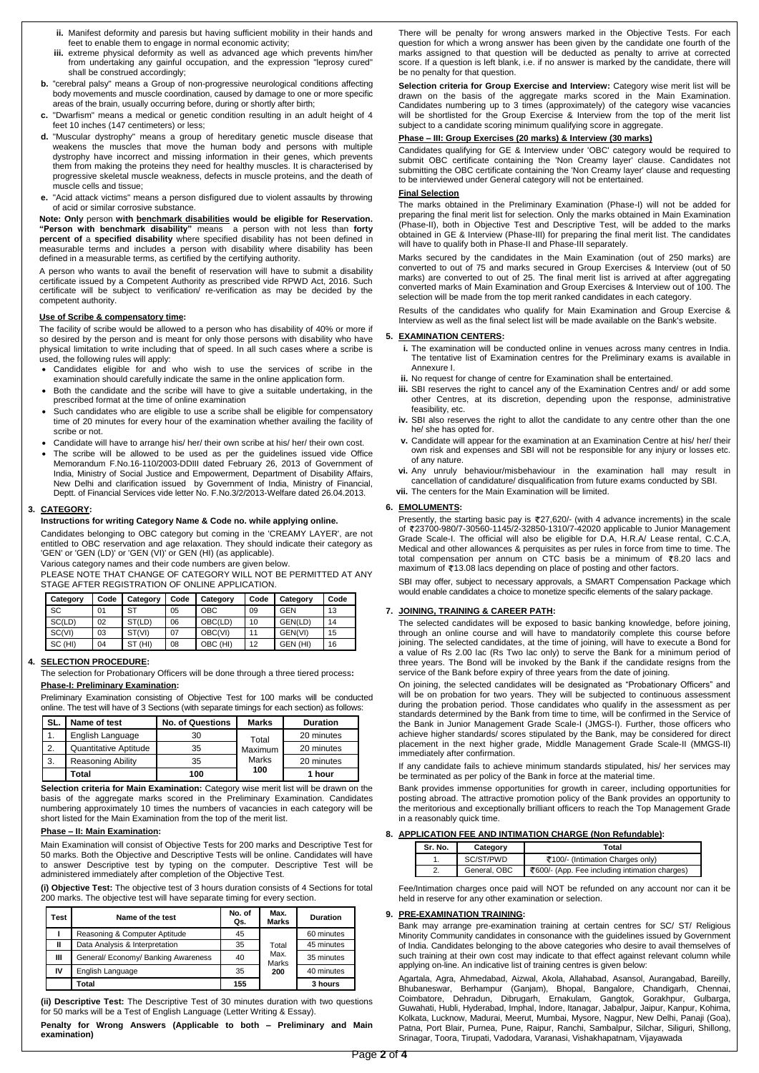- **ii.** Manifest deformity and paresis but having sufficient mobility in their hands and feet to enable them to engage in normal economic activity;
- **iii.** extreme physical deformity as well as advanced age which prevents him/her from undertaking any gainful occupation, and the expression "leprosy cured" shall be construed accordingly;
- **b.** "cerebral palsy" means a Group of non-progressive neurological conditions affecting body movements and muscle coordination, caused by damage to one or more specific areas of the brain, usually occurring before, during or shortly after birth;
- **c.** "Dwarfism" means a medical or genetic condition resulting in an adult height of 4 feet 10 inches (147 centimeters) or less;
- **d.** "Muscular dystrophy" means a group of hereditary genetic muscle disease that weakens the muscles that move the human body and persons with multiple dystrophy have incorrect and missing information in their genes, which prevents them from making the proteins they need for healthy muscles. It is characterised by progressive skeletal muscle weakness, defects in muscle proteins, and the death of muscle cells and tissue;
- **e.** "Acid attack victims" means a person disfigured due to violent assaults by throwing of acid or similar corrosive substance.

**Note: Only** person **with benchmark disabilities would be eligible for Reservation. "Person with benchmark disability"** means a person with not less than **forty percent of** a **specified disability** where specified disability has not been defined in measurable terms and includes a person with disability where disability has been defined in a measurable terms, as certified by the certifying authority.

A person who wants to avail the benefit of reservation will have to submit a disability certificate issued by a Competent Authority as prescribed vide RPWD Act, 2016. Such certificate will be subject to verification/ re-verification as may be decided by the competent authority.

#### **Use of Scribe & compensatory time:**

The facility of scribe would be allowed to a person who has disability of 40% or more if so desired by the person and is meant for only those persons with disability who have physical limitation to write including that of speed. In all such cases where a scribe is used, the following rules will apply:

- Candidates eligible for and who wish to use the services of scribe in the examination should carefully indicate the same in the online application form.
- Both the candidate and the scribe will have to give a suitable undertaking, in the prescribed format at the time of online examination
- Such candidates who are eligible to use a scribe shall be eligible for compensatory time of 20 minutes for every hour of the examination whether availing the facility of scribe or not.
- Candidate will have to arrange his/ her/ their own scribe at his/ her/ their own cost.
- The scribe will be allowed to be used as per the guidelines issued vide Office Memorandum F.No.16-110/2003-DDIII dated February 26, 2013 of Government of India, Ministry of Social Justice and Empowerment, Department of Disability Affairs, New Delhi and clarification issued by Government of India, Ministry of Financial, Deptt. of Financial Services vide letter No. F.No.3/2/2013-Welfare dated 26.04.2013.

#### **3. CATEGORY:**

#### **Instructions for writing Category Name & Code no. while applying online.**

Candidates belonging to OBC category but coming in the 'CREAMY LAYER', are not entitled to OBC reservation and age relaxation. They should indicate their category as 'GEN' or 'GEN (LD)' or 'GEN (VI)' or GEN (HI) (as applicable).

Various category names and their code numbers are given below.

PLEASE NOTE THAT CHANGE OF CATEGORY WILL NOT BE PERMITTED AT ANY STAGE AFTER REGISTRATION OF ONLINE APPLICATION.

| Category  | Code | Category   | Code | Category   | Code | Category | Code |
|-----------|------|------------|------|------------|------|----------|------|
| <b>SC</b> | 01   | SТ         | 05   | <b>OBC</b> | 09   | GEN      | 13   |
| SC(LD)    | 02   | ST(LD)     | 06   | OBC(LD)    | 10   | GEN(LD)  | 14   |
| SC(VI)    | 03   | ST(VI)     | 07   | OBC(VI)    | 11   | GEN(VI)  | 15   |
| SC (HI)   | 04   | (HI)<br>SТ | 08   | OBC (HI)   | 12   | GEN (HI) | 16   |

#### **4. SELECTION PROCEDURE:**

The selection for Probationary Officers will be done through a three tiered process**: Phase-I: Preliminary Examination:**

Preliminary Examination consisting of Objective Test for 100 marks will be conducted online. The test will have of 3 Sections (with separate timings for each section) as follows:

| SL.          | Name of test             | <b>No. of Questions</b> | <b>Marks</b> | <b>Duration</b> |
|--------------|--------------------------|-------------------------|--------------|-----------------|
|              | English Language         | 30                      | Total        | 20 minutes      |
| $\mathbf{2}$ | Quantitative Aptitude    | 35                      | Maximum      | 20 minutes      |
| 3.           | <b>Reasoning Ability</b> | 35                      | <b>Marks</b> | 20 minutes      |
|              | Total                    | 100                     | 100          | 1 hour          |

**Selection criteria for Main Examination:** Category wise merit list will be drawn on the basis of the aggregate marks scored in the Preliminary Examination. Candidates numbering approximately 10 times the numbers of vacancies in each category will be short listed for the Main Examination from the top of the merit list.

#### **Phase – II: Main Examination:**

Main Examination will consist of Objective Tests for 200 marks and Descriptive Test for 50 marks. Both the Objective and Descriptive Tests will be online. Candidates will have to answer Descriptive test by typing on the computer. Descriptive Test will be administered immediately after completion of the Objective Test.

**(i) Objective Test:** The objective test of 3 hours duration consists of 4 Sections for total 200 marks. The objective test will have separate timing for every section.

| Test | Name of the test                    | No. of<br>Qs. | Max.<br><b>Marks</b> | <b>Duration</b> |
|------|-------------------------------------|---------------|----------------------|-----------------|
|      | Reasoning & Computer Aptitude       | 45            |                      | 60 minutes      |
| Ш    | Data Analysis & Interpretation      | 35            | Total                | 45 minutes      |
| Ш    | General/ Economy/ Banking Awareness | 40            | Max.<br><b>Marks</b> | 35 minutes      |
| IV   | English Language                    | 35            | 200                  | 40 minutes      |
|      | Total                               | 155           |                      | 3 hours         |

**(ii) Descriptive Test:** The Descriptive Test of 30 minutes duration with two questions for 50 marks will be a Test of English Language (Letter Writing & Essay).

**Penalty for Wrong Answers (Applicable to both – Preliminary and Main examination)**

There will be penalty for wrong answers marked in the Objective Tests. For each question for which a wrong answer has been given by the candidate one fourth of the marks assigned to that question will be deducted as penalty to arrive at corrected score. If a question is left blank, i.e. if no answer is marked by the candidate, there will be no penalty for that question.

**Selection criteria for Group Exercise and Interview:** Category wise merit list will be drawn on the basis of the aggregate marks scored in the Main Examination. Candidates numbering up to 3 times (approximately) of the category wise vacancies will be shortlisted for the Group Exercise & Interview from the top of the merit list subject to a candidate scoring minimum qualifying score in aggregate.

# **Phase – III: Group Exercises (20 marks) & Interview (30 marks)**

Candidates qualifying for GE & Interview under 'OBC' category would be required to submit OBC certificate containing the 'Non Creamy layer' clause. Candidates not submitting the OBC certificate containing the 'Non Creamy layer' clause and requesting to be interviewed under General category will not be entertained.

#### **Final Selection**

The marks obtained in the Preliminary Examination (Phase-I) will not be added for preparing the final merit list for selection. Only the marks obtained in Main Examination (Phase-II), both in Objective Test and Descriptive Test, will be added to the marks obtained in GE & Interview (Phase-III) for preparing the final merit list. The candidates will have to qualify both in Phase-II and Phase-III separately.

Marks secured by the candidates in the Main Examination (out of 250 marks) are converted to out of 75 and marks secured in Group Exercises & Interview (out of 50 marks) are converted to out of 25. The final merit list is arrived at after aggregating converted marks of Main Examination and Group Exercises & Interview out of 100. The selection will be made from the top merit ranked candidates in each category.

Results of the candidates who qualify for Main Examination and Group Exercise & Interview as well as the final select list will be made available on the Bank's website.

#### **5. EXAMINATION CENTERS:**

- **i.** The examination will be conducted online in venues across many centres in India. The tentative list of Examination centres for the Preliminary exams is available in Annexure I.
- **ii.** No request for change of centre for Examination shall be entertained.
- **iii.** SBI reserves the right to cancel any of the Examination Centres and/ or add some other Centres, at its discretion, depending upon the response, administrative feasibility, etc.
- **iv.** SBI also reserves the right to allot the candidate to any centre other than the one he/ she has opted for.
- **v.** Candidate will appear for the examination at an Examination Centre at his/ her/ their own risk and expenses and SBI will not be responsible for any injury or losses etc. of any nature.
- **vi.** Any unruly behaviour/misbehaviour in the examination hall may result in cancellation of candidature/ disqualification from future exams conducted by SBI.
- **vii.** The centers for the Main Examination will be limited.

#### **6. EMOLUMENTS:**

Presently, the starting basic pay is  $\overline{*}27,620/$ - (with 4 advance increments) in the scale of 23700-980/7-30560-1145/2-32850-1310/7-42020 applicable to Junior Management Grade Scale-I. The official will also be eligible for D.A, H.R.A/ Lease rental, C.C.A, Medical and other allowances & perquisites as per rules in force from time to time. The total compensation per annum on CTC basis be a minimum of  $\overline{\epsilon}8.20$  lacs and maximum of  $\zeta$ 13.08 lacs depending on place of posting and other factors.

SBI may offer, subject to necessary approvals, a SMART Compensation Package which would enable candidates a choice to monetize specific elements of the salary package.

#### **7. JOINING, TRAINING & CAREER PATH:**

The selected candidates will be exposed to basic banking knowledge, before joining, through an online course and will have to mandatorily complete this course before joining. The selected candidates, at the time of joining, will have to execute a Bond for a value of Rs 2.00 lac (Rs Two lac only) to serve the Bank for a minimum period of three years. The Bond will be invoked by the Bank if the candidate resigns from the service of the Bank before expiry of three years from the date of joining.

On joining, the selected candidates will be designated as "Probationary Officers" and will be on probation for two years. They will be subjected to continuous assessment during the probation period. Those candidates who qualify in the assessment as per standards determined by the Bank from time to time, will be confirmed in the Service of the Bank in Junior Management Grade Scale-I (JMGS-I). Further, those officers who achieve higher standards/ scores stipulated by the Bank, may be considered for direct placement in the next higher grade, Middle Management Grade Scale-II (MMGS-II) immediately after confirmation.

If any candidate fails to achieve minimum standards stipulated, his/ her services may be terminated as per policy of the Bank in force at the material time.

Bank provides immense opportunities for growth in career, including opportunities for posting abroad. The attractive promotion policy of the Bank provides an opportunity to the meritorious and exceptionally brilliant officers to reach the Top Management Grade

in a reasonably quick time.

#### **8. APPLICATION FEE AND INTIMATION CHARGE (Non Refundable):**

| Sr. No. | Total<br>Category |                                                |  |  |
|---------|-------------------|------------------------------------------------|--|--|
|         | SC/ST/PWD         | ₹100/- (Intimation Charges only)               |  |  |
|         | General, OBC      | ₹600/- (App. Fee including intimation charges) |  |  |

Fee/Intimation charges once paid will NOT be refunded on any account nor can it be held in reserve for any other examination or selection.

### **9. PRE-EXAMINATION TRAINING:**

Bank may arrange pre-examination training at certain centres for SC/ ST/ Religious Minority Community candidates in consonance with the guidelines issued by Government of India. Candidates belonging to the above categories who desire to avail themselves of such training at their own cost may indicate to that effect against relevant column while applying on-line. An indicative list of training centres is given below:

Agartala, Agra, Ahmedabad, Aizwal, Akola, Allahabad, Asansol, Aurangabad, Bareilly, Bhubaneswar, Berhampur (Ganjam), Bhopal, Bangalore, Chandigarh, Chennai, Coimbatore, Dehradun, Dibrugarh, Ernakulam, Gangtok, Gorakhpur, Gulbarga, Guwahati, Hubli, Hyderabad, Imphal, Indore, Itanagar, Jabalpur, Jaipur, Kanpur, Kohima, Kolkata, Lucknow, Madurai, Meerut, Mumbai, Mysore, Nagpur, New Delhi, Panaji (Goa), Patna, Port Blair, Purnea, Pune, Raipur, Ranchi, Sambalpur, Silchar, Siliguri, Shillong, Srinagar, Toora, Tirupati, Vadodara, Varanasi, Vishakhapatnam, Vijayawada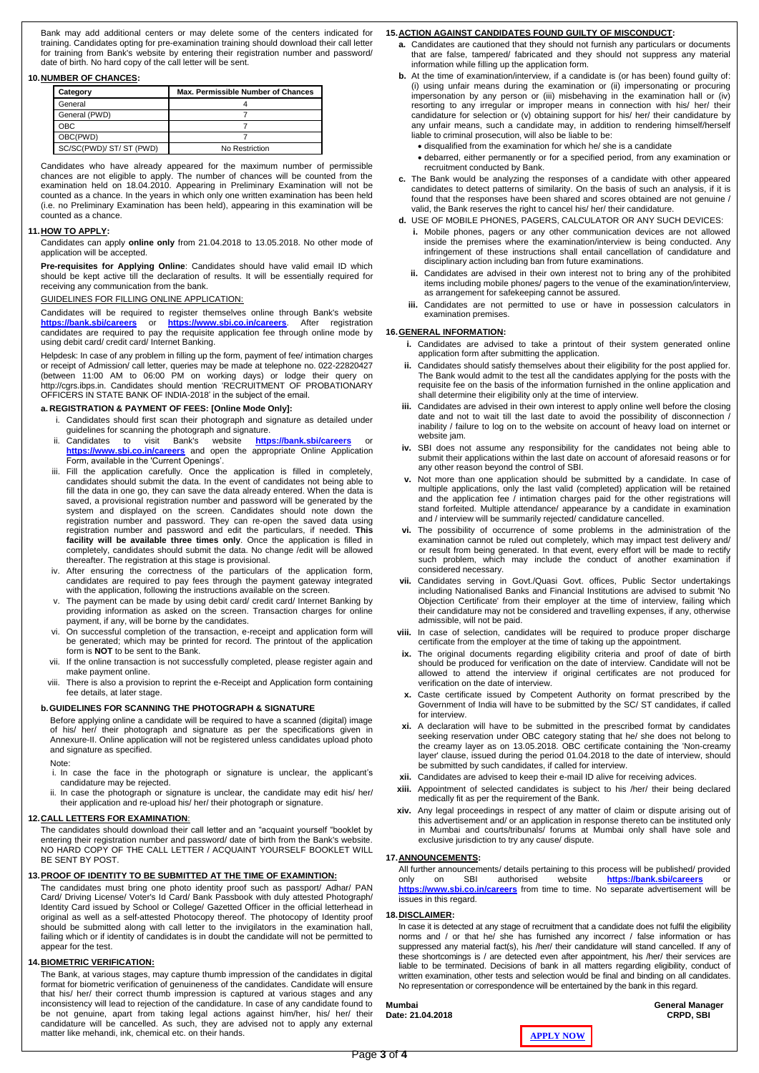Bank may add additional centers or may delete some of the centers indicated for training. Candidates opting for pre-examination training should download their call letter for training from Bank's website by entering their registration number and password/ date of birth. No hard copy of the call letter will be sent.

#### **10.NUMBER OF CHANCES:**

| Category                 | <b>Max. Permissible Number of Chances</b> |
|--------------------------|-------------------------------------------|
| General                  |                                           |
| General (PWD)            |                                           |
| ОВС                      |                                           |
| OBC(PWD)                 |                                           |
| SC/SC(PWD)/ ST/ ST (PWD) | No Restriction                            |

Candidates who have already appeared for the maximum number of permissible chances are not eligible to apply. The number of chances will be counted from the examination held on 18.04.2010. Appearing in Preliminary Examination will not be counted as a chance. In the years in which only one written examination has been held (i.e. no Preliminary Examination has been held), appearing in this examination will be counted as a chance.

#### **11.HOW TO APPLY:**

Candidates can apply **online only** from 21.04.2018 to 13.05.2018. No other mode of application will be accepted.

**Pre-requisites for Applying Online**: Candidates should have valid email ID which should be kept active till the declaration of results. It will be essentially required for receiving any communication from the bank.

#### GUIDELINES FOR FILLING ONLINE APPLICATION:

Candidates will be required to register themselves online through Bank's website **<https://bank.sbi/careers>** or **<https://www.sbi.co.in/careers>**. After registration candidates are required to pay the requisite application fee through online mode by using debit card/ credit card/ Internet Banking.

Helpdesk: In case of any problem in filling up the form, payment of fee/ intimation charges or receipt of Admission/ call letter, queries may be made at telephone no. 022-22820427 (between 11:00 AM to 06:00 PM on working days) or lodge their query on http://cgrs.ibps.in. Candidates should mention 'RECRUITMENT OF PROBATIONARY OFFICERS IN STATE BANK OF INDIA-2018' in the subject of the email.

#### **a. REGISTRATION & PAYMENT OF FEES: [Online Mode Only]:**

- i. Candidates should first scan their photograph and signature as detailed under guidelines for scanning the photograph and signature.
- ii. Candidates to visit Bank's website **<https://bank.sbi/careers>** or **<https://www.sbi.co.in/careers>** and open the appropriate Online Application Form, available in the 'Current Openings'.
- iii. Fill the application carefully. Once the application is filled in completely, candidates should submit the data. In the event of candidates not being able to fill the data in one go, they can save the data already entered. When the data is saved, a provisional registration number and password will be generated by the system and displayed on the screen. Candidates should note down the registration number and password. They can re-open the saved data using registration number and password and edit the particulars, if needed. **This facility will be available three times only**. Once the application is filled in completely, candidates should submit the data. No change /edit will be allowed thereafter. The registration at this stage is provisional.
- iv. After ensuring the correctness of the particulars of the application form, candidates are required to pay fees through the payment gateway integrated with the application, following the instructions available on the screen.
- v. The payment can be made by using debit card/ credit card/ Internet Banking by providing information as asked on the screen. Transaction charges for online payment, if any, will be borne by the candidates.
- vi. On successful completion of the transaction, e-receipt and application form will be generated; which may be printed for record. The printout of the application form is **NOT** to be sent to the Bank.
- vii. If the online transaction is not successfully completed, please register again and make payment online.
- viii. There is also a provision to reprint the e-Receipt and Application form containing fee details, at later stage.

#### **b.GUIDELINES FOR SCANNING THE PHOTOGRAPH & SIGNATURE**

Before applying online a candidate will be required to have a scanned (digital) image of his/ her/ their photograph and signature as per the specifications given in Annexure-II. Online application will not be registered unless candidates upload photo and signature as specified.

#### Note:

- i. In case the face in the photograph or signature is unclear, the applicant's candidature may be rejected.
- ii. In case the photograph or signature is unclear, the candidate may edit his/ her/ their application and re-upload his/ her/ their photograph or signature.

#### **12.CALL LETTERS FOR EXAMINATION**:

The candidates should download their call letter and an "acquaint yourself "booklet by entering their registration number and password/ date of birth from the Bank's website. NO HARD COPY OF THE CALL LETTER / ACQUAINT YOURSELF BOOKLET WILL BE SENT BY POST.

#### **13.PROOF OF IDENTITY TO BE SUBMITTED AT THE TIME OF EXAMINTION:**

The candidates must bring one photo identity proof such as passport/ Adhar/ PAN Card/ Driving License/ Voter's Id Card/ Bank Passbook with duly attested Photograph/ Identity Card issued by School or College/ Gazetted Officer in the official letterhead in original as well as a self-attested Photocopy thereof. The photocopy of Identity proof should be submitted along with call letter to the invigilators in the examination hall, failing which or if identity of candidates is in doubt the candidate will not be permitted to appear for the test.

#### **14.BIOMETRIC VERIFICATION:**

The Bank, at various stages, may capture thumb impression of the candidates in digital format for biometric verification of genuineness of the candidates. Candidate will ensure that his/ her/ their correct thumb impression is captured at various stages and any inconsistency will lead to rejection of the candidature. In case of any candidate found to be not genuine, apart from taking legal actions against him/her, his/ her/ their candidature will be cancelled. As such, they are advised not to apply any external matter like mehandi, ink, chemical etc. on their hands.

#### **15.ACTION AGAINST CANDIDATES FOUND GUILTY OF MISCONDUCT:**

- **a.** Candidates are cautioned that they should not furnish any particulars or documents that are false, tampered/ fabricated and they should not suppress any material information while filling up the application form.
- **b.** At the time of examination/interview, if a candidate is (or has been) found guilty of: (i) using unfair means during the examination or (ii) impersonating or procuring impersonation by any person or (iii) misbehaving in the examination hall or (iv) resorting to any irregular or improper means in connection with his/ her/ their candidature for selection or (v) obtaining support for his/ her/ their candidature by any unfair means, such a candidate may, in addition to rendering himself/herself liable to criminal prosecution, will also be liable to be:
	- disqualified from the examination for which he/ she is a candidate
	- debarred, either permanently or for a specified period, from any examination or recruitment conducted by Bank.
- **c.** The Bank would be analyzing the responses of a candidate with other appeared candidates to detect patterns of similarity. On the basis of such an analysis, if it is found that the responses have been shared and scores obtained are not genuine / valid, the Bank reserves the right to cancel his/ her/ their candidature.
- **d.** USE OF MOBILE PHONES, PAGERS, CALCULATOR OR ANY SUCH DEVICES:
	- **i.** Mobile phones, pagers or any other communication devices are not allowed inside the premises where the examination/interview is being conducted. Any infringement of these instructions shall entail cancellation of candidature and disciplinary action including ban from future examinations.
	- **ii.** Candidates are advised in their own interest not to bring any of the prohibited items including mobile phones/ pagers to the venue of the examination/interview, as arrangement for safekeeping cannot be assured.
	- **iii.** Candidates are not permitted to use or have in possession calculators in examination premises.

#### **16.GENERAL INFORMATION:**

- **i.** Candidates are advised to take a printout of their system generated online application form after submitting the application.
- **ii.** Candidates should satisfy themselves about their eligibility for the post applied for. The Bank would admit to the test all the candidates applying for the posts with the requisite fee on the basis of the information furnished in the online application and shall determine their eligibility only at the time of interview.
- **iii.** Candidates are advised in their own interest to apply online well before the closing date and not to wait till the last date to avoid the possibility of disconnection / inability / failure to log on to the website on account of heavy load on internet or website jam.
- **iv.** SBI does not assume any responsibility for the candidates not being able to submit their applications within the last date on account of aforesaid reasons or for any other reason beyond the control of SBI.
- **v.** Not more than one application should be submitted by a candidate. In case of multiple applications, only the last valid (completed) application will be retained and the application fee / intimation charges paid for the other registrations will stand forfeited. Multiple attendance/ appearance by a candidate in examination and / interview will be summarily rejected/ candidature cancelled.
- **vi.** The possibility of occurrence of some problems in the administration of the examination cannot be ruled out completely, which may impact test delivery and/ or result from being generated. In that event, every effort will be made to rectify such problem, which may include the conduct of another examination if considered necessary.
- **vii.** Candidates serving in Govt./Quasi Govt. offices, Public Sector undertakings including Nationalised Banks and Financial Institutions are advised to submit 'No Objection Certificate' from their employer at the time of interview, failing which their candidature may not be considered and travelling expenses, if any, otherwise admissible, will not be paid.
- **viii.** In case of selection, candidates will be required to produce proper discharge certificate from the employer at the time of taking up the appointment.
- **ix.** The original documents regarding eligibility criteria and proof of date of birth should be produced for verification on the date of interview. Candidate will not be allowed to attend the interview if original certificates are not produced for verification on the date of interview.
- **x.** Caste certificate issued by Competent Authority on format prescribed by the Government of India will have to be submitted by the SC/ ST candidates, if called for interview.
- **xi.** A declaration will have to be submitted in the prescribed format by candidates seeking reservation under OBC category stating that he/ she does not belong to the creamy layer as on 13.05.2018. OBC certificate containing the 'Non-creamy layer' clause, issued during the period 01.04.2018 to the date of interview, should be submitted by such candidates, if called for interview.
- **xii.** Candidates are advised to keep their e-mail ID alive for receiving advices.
- Appointment of selected candidates is subject to his /her/ their being declared medically fit as per the requirement of the Bank.
- 

**xiv.** Any legal proceedings in respect of any matter of claim or dispute arising out of this advertisement and/ or an application in response thereto can be instituted only in Mumbai and courts/tribunals/ forums at Mumbai only shall have sole and exclusive jurisdiction to try any cause/ dispute.

#### **17.ANNOUNCEMENTS:**

All further announcements/ details pertaining to this process will be published/ provided only on SBI authorised website **<https://bank.sbi/careers>** or **<https://www.sbi.co.in/careers>** from time to time. No separate advertisement will be issues in this regard.

#### **18.DISCLAIMER:**

In case it is detected at any stage of recruitment that a candidate does not fulfil the eligibility norms and / or that he/ she has furnished any incorrect / false information or has suppressed any material fact(s), his /her/ their candidature will stand cancelled. If any of these shortcomings is / are detected even after appointment, his /her/ their services are liable to be terminated. Decisions of bank in all matters regarding eligibility, conduct of written examination, other tests and selection would be final and binding on all candidates. No representation or correspondence will be entertained by the bank in this regard.

**Mumbai General Manager**

**Date: 21.04.2018 CRPD, SBI**